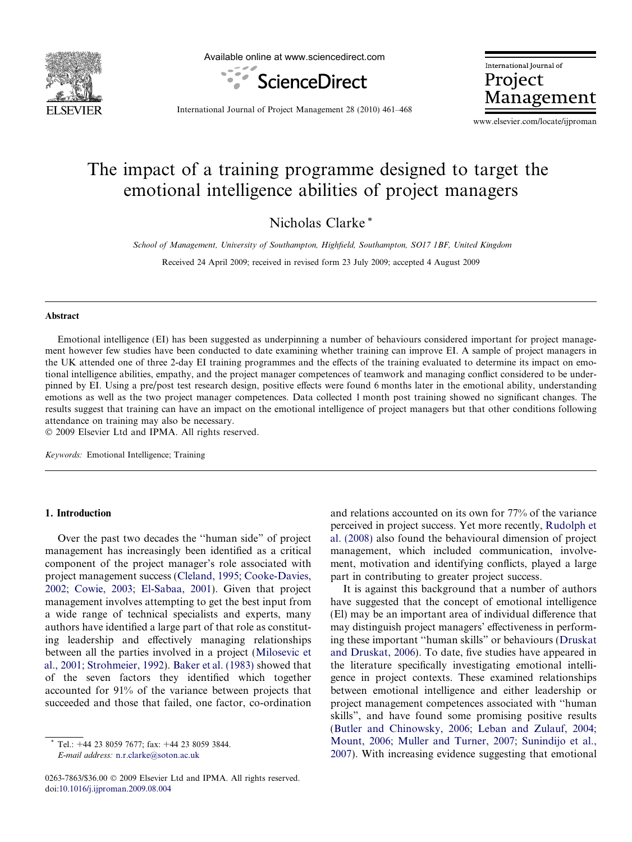

Available online at www.sciencedirect.com



International Journal of Project Management

International Journal of Project Management 28 (2010) 461–468

www.elsevier.com/locate/ijproman

# The impact of a training programme designed to target the emotional intelligence abilities of project managers

Nicholas Clarke \*

School of Management, University of Southampton, Highfield, Southampton, SO17 1BF, United Kingdom

Received 24 April 2009; received in revised form 23 July 2009; accepted 4 August 2009

#### Abstract

Emotional intelligence (EI) has been suggested as underpinning a number of behaviours considered important for project management however few studies have been conducted to date examining whether training can improve EI. A sample of project managers in the UK attended one of three 2-day EI training programmes and the effects of the training evaluated to determine its impact on emotional intelligence abilities, empathy, and the project manager competences of teamwork and managing conflict considered to be underpinned by EI. Using a pre/post test research design, positive effects were found 6 months later in the emotional ability, understanding emotions as well as the two project manager competences. Data collected 1 month post training showed no significant changes. The results suggest that training can have an impact on the emotional intelligence of project managers but that other conditions following attendance on training may also be necessary.

 $© 2009 Elsevier Ltd and IPMA. All rights reserved.$ 

Keywords: Emotional Intelligence; Training

### 1. Introduction

Over the past two decades the ''human side" of project management has increasingly been identified as a critical component of the project manager's role associated with project management success [\(Cleland, 1995; Cooke-Davies,](#page--1-0) [2002; Cowie, 2003; El-Sabaa, 2001\)](#page--1-0). Given that project management involves attempting to get the best input from a wide range of technical specialists and experts, many authors have identified a large part of that role as constituting leadership and effectively managing relationships between all the parties involved in a project [\(Milosevic et](#page--1-0) [al., 2001; Strohmeier, 1992\)](#page--1-0). [Baker et al. \(1983\)](#page--1-0) showed that of the seven factors they identified which together accounted for 91% of the variance between projects that succeeded and those that failed, one factor, co-ordination

Tel.:  $+44$  23 8059 7677; fax:  $+44$  23 8059 3844. E-mail address: [n.r.clarke@soton.ac.uk](mailto:n.r.clarke@soton.ac.uk)

0263-7863/\$36.00 © 2009 Elsevier Ltd and IPMA. All rights reserved. doi:[10.1016/j.ijproman.2009.08.004](http://dx.doi.org/10.1016/j.ijproman.2009.08.004)

and relations accounted on its own for 77% of the variance perceived in project success. Yet more recently, [Rudolph et](#page--1-0) [al. \(2008\)](#page--1-0) also found the behavioural dimension of project management, which included communication, involvement, motivation and identifying conflicts, played a large part in contributing to greater project success.

It is against this background that a number of authors have suggested that the concept of emotional intelligence (El) may be an important area of individual difference that may distinguish project managers' effectiveness in performing these important ''human skills" or behaviours [\(Druskat](#page--1-0) [and Druskat, 2006](#page--1-0)). To date, five studies have appeared in the literature specifically investigating emotional intelligence in project contexts. These examined relationships between emotional intelligence and either leadership or project management competences associated with ''human skills", and have found some promising positive results ([Butler and Chinowsky, 2006; Leban and Zulauf, 2004;](#page--1-0) [Mount, 2006; Muller and Turner, 2007; Sunindijo et al.,](#page--1-0) [2007](#page--1-0)). With increasing evidence suggesting that emotional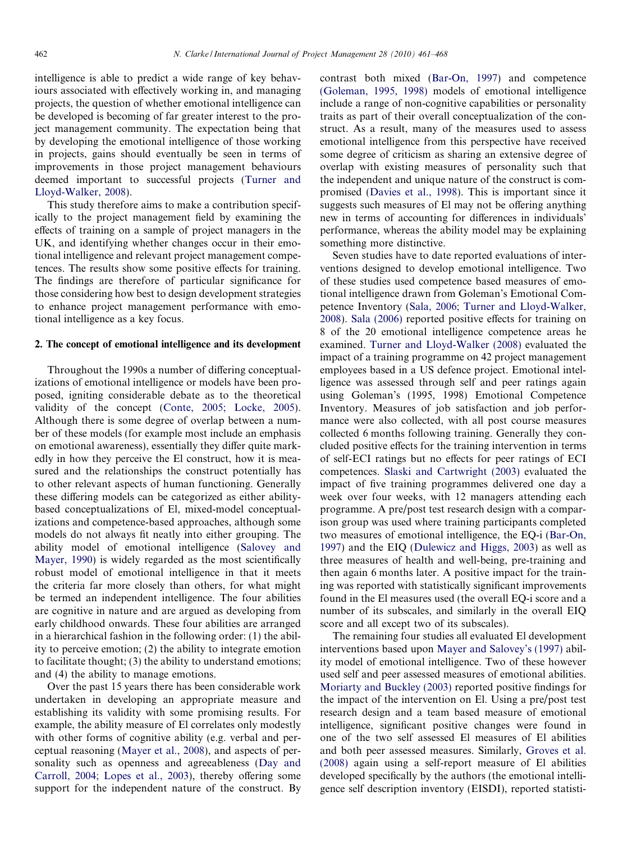intelligence is able to predict a wide range of key behaviours associated with effectively working in, and managing projects, the question of whether emotional intelligence can be developed is becoming of far greater interest to the project management community. The expectation being that by developing the emotional intelligence of those working in projects, gains should eventually be seen in terms of improvements in those project management behaviours deemed important to successful projects ([Turner and](#page--1-0) [Lloyd-Walker, 2008\)](#page--1-0).

This study therefore aims to make a contribution specifically to the project management field by examining the effects of training on a sample of project managers in the UK, and identifying whether changes occur in their emotional intelligence and relevant project management competences. The results show some positive effects for training. The findings are therefore of particular significance for those considering how best to design development strategies to enhance project management performance with emotional intelligence as a key focus.

#### 2. The concept of emotional intelligence and its development

Throughout the 1990s a number of differing conceptualizations of emotional intelligence or models have been proposed, igniting considerable debate as to the theoretical validity of the concept [\(Conte, 2005; Locke, 2005\)](#page--1-0). Although there is some degree of overlap between a number of these models (for example most include an emphasis on emotional awareness), essentially they differ quite markedly in how they perceive the El construct, how it is measured and the relationships the construct potentially has to other relevant aspects of human functioning. Generally these differing models can be categorized as either abilitybased conceptualizations of El, mixed-model conceptualizations and competence-based approaches, although some models do not always fit neatly into either grouping. The ability model of emotional intelligence ([Salovey and](#page--1-0) [Mayer, 1990](#page--1-0)) is widely regarded as the most scientifically robust model of emotional intelligence in that it meets the criteria far more closely than others, for what might be termed an independent intelligence. The four abilities are cognitive in nature and are argued as developing from early childhood onwards. These four abilities are arranged in a hierarchical fashion in the following order: (1) the ability to perceive emotion; (2) the ability to integrate emotion to facilitate thought; (3) the ability to understand emotions; and (4) the ability to manage emotions.

Over the past 15 years there has been considerable work undertaken in developing an appropriate measure and establishing its validity with some promising results. For example, the ability measure of El correlates only modestly with other forms of cognitive ability (e.g. verbal and perceptual reasoning [\(Mayer et al., 2008\)](#page--1-0), and aspects of personality such as openness and agreeableness ([Day and](#page--1-0) [Carroll, 2004; Lopes et al., 2003\)](#page--1-0), thereby offering some support for the independent nature of the construct. By contrast both mixed [\(Bar-On, 1997](#page--1-0)) and competence [\(Goleman, 1995, 1998\)](#page--1-0) models of emotional intelligence include a range of non-cognitive capabilities or personality traits as part of their overall conceptualization of the construct. As a result, many of the measures used to assess emotional intelligence from this perspective have received some degree of criticism as sharing an extensive degree of overlap with existing measures of personality such that the independent and unique nature of the construct is compromised ([Davies et al., 1998\)](#page--1-0). This is important since it suggests such measures of El may not be offering anything new in terms of accounting for differences in individuals' performance, whereas the ability model may be explaining something more distinctive.

Seven studies have to date reported evaluations of interventions designed to develop emotional intelligence. Two of these studies used competence based measures of emotional intelligence drawn from Goleman's Emotional Competence Inventory [\(Sala, 2006; Turner and Lloyd-Walker,](#page--1-0) [2008\)](#page--1-0). [Sala \(2006\)](#page--1-0) reported positive effects for training on 8 of the 20 emotional intelligence competence areas he examined. [Turner and Lloyd-Walker \(2008\)](#page--1-0) evaluated the impact of a training programme on 42 project management employees based in a US defence project. Emotional intelligence was assessed through self and peer ratings again using Goleman's (1995, 1998) Emotional Competence Inventory. Measures of job satisfaction and job performance were also collected, with all post course measures collected 6 months following training. Generally they concluded positive effects for the training intervention in terms of self-ECI ratings but no effects for peer ratings of ECI competences. [Slaski and Cartwright \(2003\)](#page--1-0) evaluated the impact of five training programmes delivered one day a week over four weeks, with 12 managers attending each programme. A pre/post test research design with a comparison group was used where training participants completed two measures of emotional intelligence, the EQ-i [\(Bar-On,](#page--1-0) [1997\)](#page--1-0) and the EIQ [\(Dulewicz and Higgs, 2003\)](#page--1-0) as well as three measures of health and well-being, pre-training and then again 6 months later. A positive impact for the training was reported with statistically significant improvements found in the El measures used (the overall EQ-i score and a number of its subscales, and similarly in the overall EIQ score and all except two of its subscales).

The remaining four studies all evaluated El development interventions based upon [Mayer and Salovey's \(1997\)](#page--1-0) ability model of emotional intelligence. Two of these however used self and peer assessed measures of emotional abilities. [Moriarty and Buckley \(2003\)](#page--1-0) reported positive findings for the impact of the intervention on El. Using a pre/post test research design and a team based measure of emotional intelligence, significant positive changes were found in one of the two self assessed El measures of El abilities and both peer assessed measures. Similarly, [Groves et al.](#page--1-0) [\(2008\)](#page--1-0) again using a self-report measure of El abilities developed specifically by the authors (the emotional intelligence self description inventory (EISDI), reported statisti-